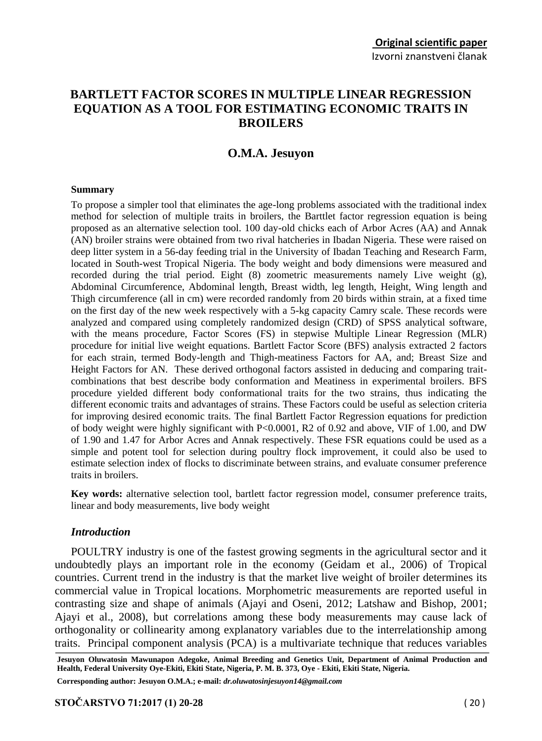# **BARTLETT FACTOR SCORES IN MULTIPLE LINEAR REGRESSION EQUATION AS A TOOL FOR ESTIMATING ECONOMIC TRAITS IN BROILERS**

## **O.M.A. Jesuyon**

#### **Summary**

To propose a simpler tool that eliminates the age-long problems associated with the traditional index method for selection of multiple traits in broilers, the Barttlet factor regression equation is being proposed as an alternative selection tool. 100 day-old chicks each of Arbor Acres (AA) and Annak (AN) broiler strains were obtained from two rival hatcheries in Ibadan Nigeria. These were raised on deep litter system in a 56-day feeding trial in the University of Ibadan Teaching and Research Farm, located in South-west Tropical Nigeria. The body weight and body dimensions were measured and recorded during the trial period. Eight (8) zoometric measurements namely Live weight (g), Abdominal Circumference, Abdominal length, Breast width, leg length, Height, Wing length and Thigh circumference (all in cm) were recorded randomly from 20 birds within strain, at a fixed time on the first day of the new week respectively with a 5-kg capacity Camry scale. These records were analyzed and compared using completely randomized design (CRD) of SPSS analytical software, with the means procedure, Factor Scores (FS) in stepwise Multiple Linear Regression (MLR) procedure for initial live weight equations. Bartlett Factor Score (BFS) analysis extracted 2 factors for each strain, termed Body-length and Thigh-meatiness Factors for AA, and; Breast Size and Height Factors for AN. These derived orthogonal factors assisted in deducing and comparing traitcombinations that best describe body conformation and Meatiness in experimental broilers. BFS procedure yielded different body conformational traits for the two strains, thus indicating the different economic traits and advantages of strains. These Factors could be useful as selection criteria for improving desired economic traits. The final Bartlett Factor Regression equations for prediction of body weight were highly significant with P<0.0001, R2 of 0.92 and above, VIF of 1.00, and DW of 1.90 and 1.47 for Arbor Acres and Annak respectively. These FSR equations could be used as a simple and potent tool for selection during poultry flock improvement, it could also be used to estimate selection index of flocks to discriminate between strains, and evaluate consumer preference traits in broilers.

**Key words:** alternative selection tool, bartlett factor regression model, consumer preference traits, linear and body measurements, live body weight

### *Introduction*

POULTRY industry is one of the fastest growing segments in the agricultural sector and it undoubtedly plays an important role in the economy (Geidam et al., 2006) of Tropical countries. Current trend in the industry is that the market live weight of broiler determines its commercial value in Tropical locations. Morphometric measurements are reported useful in contrasting size and shape of animals (Ajayi and Oseni, 2012; Latshaw and Bishop, 2001; Ajayi et al., 2008), but correlations among these body measurements may cause lack of orthogonality or collinearity among explanatory variables due to the interrelationship among traits. Principal component analysis (PCA) is a multivariate technique that reduces variables

**Corresponding author: Jesuyon O.M.A.; e-mail:** *dr.oluwatosinjesuyon14@gmail.com*

**Jesuyon Oluwatosin Mawunapon Adegoke, Animal Breeding and Genetics Unit, Department of Animal Production and Health, Federal University Oye-Ekiti, Ekiti State, Nigeria, P. M. B. 373, Oye - Ekiti, Ekiti State, Nigeria.**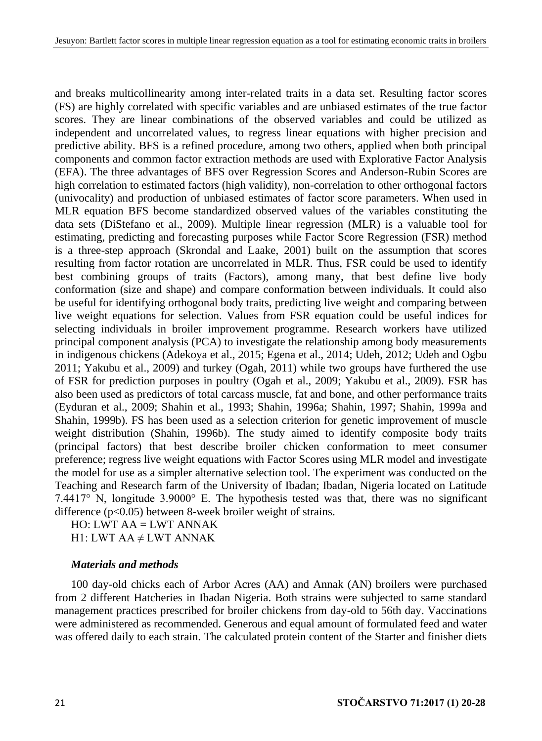and breaks multicollinearity among inter-related traits in a data set. Resulting factor scores (FS) are highly correlated with specific variables and are unbiased estimates of the true factor scores. They are linear combinations of the observed variables and could be utilized as independent and uncorrelated values, to regress linear equations with higher precision and predictive ability. BFS is a refined procedure, among two others, applied when both principal components and common factor extraction methods are used with Explorative Factor Analysis (EFA). The three advantages of BFS over Regression Scores and Anderson-Rubin Scores are high correlation to estimated factors (high validity), non-correlation to other orthogonal factors (univocality) and production of unbiased estimates of factor score parameters. When used in MLR equation BFS become standardized observed values of the variables constituting the data sets (DiStefano et al., 2009). Multiple linear regression (MLR) is a valuable tool for estimating, predicting and forecasting purposes while Factor Score Regression (FSR) method is a three-step approach (Skrondal and Laake, 2001) built on the assumption that scores resulting from factor rotation are uncorrelated in MLR. Thus, FSR could be used to identify best combining groups of traits (Factors), among many, that best define live body conformation (size and shape) and compare conformation between individuals. It could also be useful for identifying orthogonal body traits, predicting live weight and comparing between live weight equations for selection. Values from FSR equation could be useful indices for selecting individuals in broiler improvement programme. Research workers have utilized principal component analysis (PCA) to investigate the relationship among body measurements in indigenous chickens (Adekoya et al., 2015; Egena et al., 2014; Udeh, 2012; Udeh and Ogbu 2011; Yakubu et al., 2009) and turkey (Ogah, 2011) while two groups have furthered the use of FSR for prediction purposes in poultry (Ogah et al., 2009; Yakubu et al., 2009). FSR has also been used as predictors of total carcass muscle, fat and bone, and other performance traits (Eyduran et al., 2009; Shahin et al., 1993; Shahin, 1996a; Shahin, 1997; Shahin, 1999a and Shahin, 1999b). FS has been used as a selection criterion for genetic improvement of muscle weight distribution (Shahin, 1996b). The study aimed to identify composite body traits (principal factors) that best describe broiler chicken conformation to meet consumer preference; regress live weight equations with Factor Scores using MLR model and investigate the model for use as a simpler alternative selection tool. The experiment was conducted on the Teaching and Research farm of the University of Ibadan; Ibadan, Nigeria located on Latitude 7.4417° N, longitude 3.9000° E. The hypothesis tested was that, there was no significant difference (p<0.05) between 8-week broiler weight of strains.

HO: LWT AA = LWT ANNAK H1: LWT AA  $\neq$  LWT ANNAK

## *Materials and methods*

100 day-old chicks each of Arbor Acres (AA) and Annak (AN) broilers were purchased from 2 different Hatcheries in Ibadan Nigeria. Both strains were subjected to same standard management practices prescribed for broiler chickens from day-old to 56th day. Vaccinations were administered as recommended. Generous and equal amount of formulated feed and water was offered daily to each strain. The calculated protein content of the Starter and finisher diets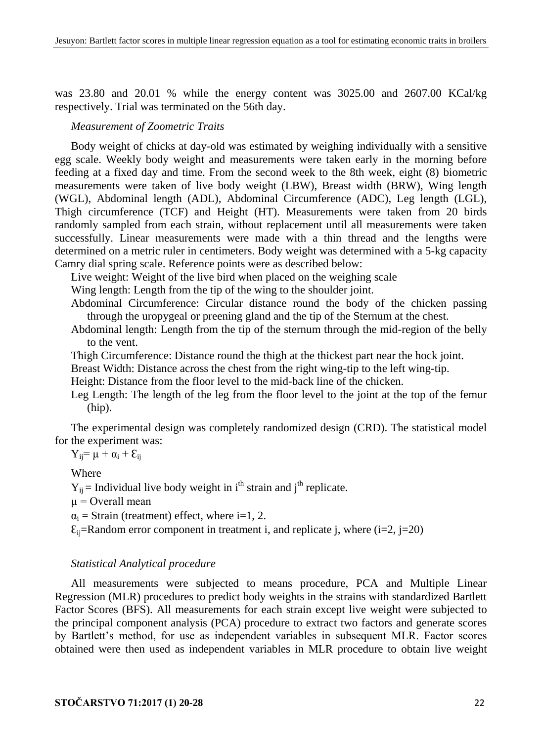was 23.80 and 20.01 % while the energy content was 3025.00 and 2607.00 KCal/kg respectively. Trial was terminated on the 56th day.

## *Measurement of Zoometric Traits*

Body weight of chicks at day-old was estimated by weighing individually with a sensitive egg scale. Weekly body weight and measurements were taken early in the morning before feeding at a fixed day and time. From the second week to the 8th week, eight (8) biometric measurements were taken of live body weight (LBW), Breast width (BRW), Wing length (WGL), Abdominal length (ADL), Abdominal Circumference (ADC), Leg length (LGL), Thigh circumference (TCF) and Height (HT). Measurements were taken from 20 birds randomly sampled from each strain, without replacement until all measurements were taken successfully. Linear measurements were made with a thin thread and the lengths were determined on a metric ruler in centimeters. Body weight was determined with a 5-kg capacity Camry dial spring scale. Reference points were as described below:

Live weight: Weight of the live bird when placed on the weighing scale

Wing length: Length from the tip of the wing to the shoulder joint.

Abdominal Circumference: Circular distance round the body of the chicken passing through the uropygeal or preening gland and the tip of the Sternum at the chest.

Abdominal length: Length from the tip of the sternum through the mid-region of the belly to the vent.

Thigh Circumference: Distance round the thigh at the thickest part near the hock joint.

Breast Width: Distance across the chest from the right wing-tip to the left wing-tip.

Height: Distance from the floor level to the mid-back line of the chicken.

Leg Length: The length of the leg from the floor level to the joint at the top of the femur (hip).

The experimental design was completely randomized design (CRD). The statistical model for the experiment was:

 $Y_{ij} = \mu + \alpha_i + \epsilon_{ij}$ 

Where

 $Y_{ii}$  = Individual live body weight in i<sup>th</sup> strain and j<sup>th</sup> replicate.

 $u =$ Overall mean

 $\alpha_i$  = Strain (treatment) effect, where i=1, 2.

 $\mathcal{E}_{ii}$ =Random error component in treatment i, and replicate j, where (i=2, j=20)

### *Statistical Analytical procedure*

All measurements were subjected to means procedure, PCA and Multiple Linear Regression (MLR) procedures to predict body weights in the strains with standardized Bartlett Factor Scores (BFS). All measurements for each strain except live weight were subjected to the principal component analysis (PCA) procedure to extract two factors and generate scores by Bartlett's method, for use as independent variables in subsequent MLR. Factor scores obtained were then used as independent variables in MLR procedure to obtain live weight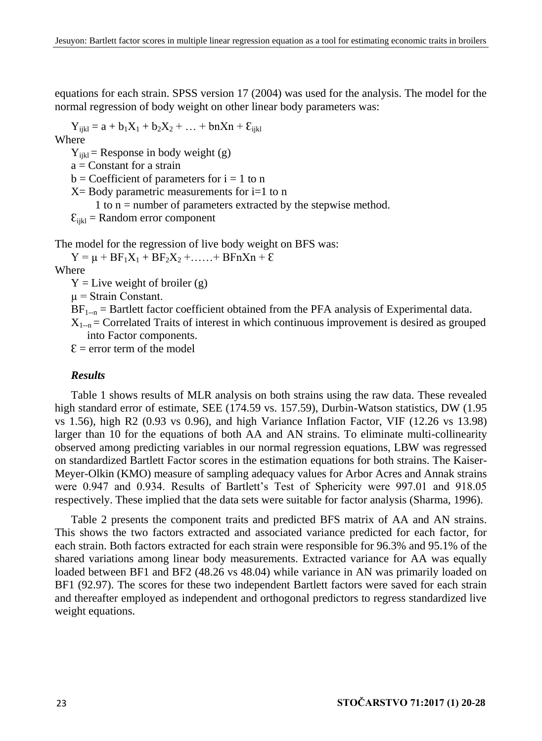equations for each strain. SPSS version 17 (2004) was used for the analysis. The model for the normal regression of body weight on other linear body parameters was:

 $Y_{iikl} = a + b_1X_1 + b_2X_2 + ... + bnXn + \mathcal{E}_{iikl}$ Where

 $Y_{ijkl}$  = Response in body weight (g)  $a = Constant for a strain$  $b = Coefficient of parameters for i = 1 to n$  $X = Body$  parametric measurements for  $i=1$  to n 1 to n = number of parameters extracted by the stepwise method.  $\mathcal{E}_{ijkl}$  = Random error component

The model for the regression of live body weight on BFS was:

 $Y = \mu + BF_1X_1 + BF_2X_2 + \ldots + BF_nX_n + E$ 

Where

 $Y =$ Live weight of broiler (g)

 $\mu$  = Strain Constant.

 $BF_{1-n}$  = Bartlett factor coefficient obtained from the PFA analysis of Experimental data.

 $X_{1-n}$  = Correlated Traits of interest in which continuous improvement is desired as grouped into Factor components.

 $\mathcal{E}$  = error term of the model

#### *Results*

Table 1 shows results of MLR analysis on both strains using the raw data. These revealed high standard error of estimate, SEE (174.59 vs. 157.59), Durbin-Watson statistics, DW (1.95) vs 1.56), high R2 (0.93 vs 0.96), and high Variance Inflation Factor, VIF (12.26 vs 13.98) larger than 10 for the equations of both AA and AN strains. To eliminate multi-collinearity observed among predicting variables in our normal regression equations, LBW was regressed on standardized Bartlett Factor scores in the estimation equations for both strains. The Kaiser-Meyer-Olkin (KMO) measure of sampling adequacy values for Arbor Acres and Annak strains were 0.947 and 0.934. Results of Bartlett's Test of Sphericity were 997.01 and 918.05 respectively. These implied that the data sets were suitable for factor analysis (Sharma, 1996).

Table 2 presents the component traits and predicted BFS matrix of AA and AN strains. This shows the two factors extracted and associated variance predicted for each factor, for each strain. Both factors extracted for each strain were responsible for 96.3% and 95.1% of the shared variations among linear body measurements. Extracted variance for AA was equally loaded between BF1 and BF2 (48.26 vs 48.04) while variance in AN was primarily loaded on BF1 (92.97). The scores for these two independent Bartlett factors were saved for each strain and thereafter employed as independent and orthogonal predictors to regress standardized live weight equations.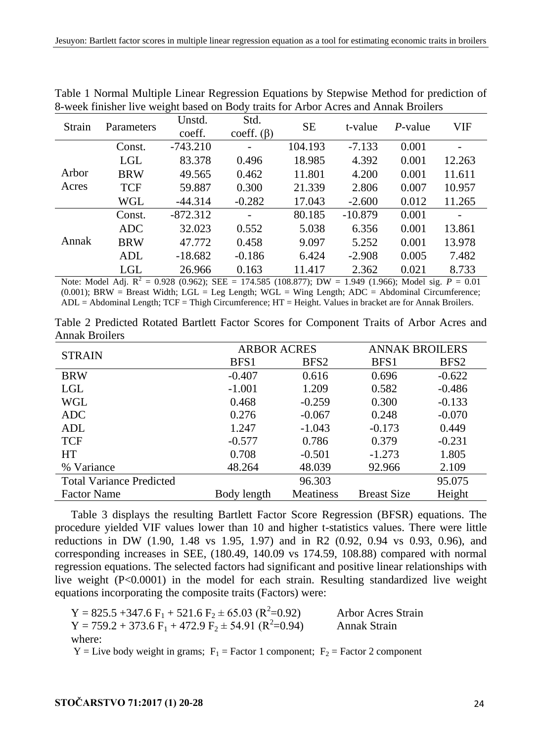| Std.<br>Unstd.<br><b>SE</b><br>VIF<br>Strain<br>$P$ -value<br>t-value<br>Parameters<br>coeff.<br>coeff. $(\beta)$<br>$-743.210$<br>104.193<br>$-7.133$<br>0.001<br>Const.<br>LGL<br>18.985<br>83.378<br>0.496<br>4.392<br>0.001<br>12.263<br>Arbor<br><b>BRW</b><br>11.801<br>0.462<br>4.200<br>0.001<br>11.611<br>49.565<br>Acres<br><b>TCF</b><br>59.887<br>0.300<br>21.339<br>2.806<br>0.007<br>10.957<br>WGL<br>$-0.282$<br>17.043<br>0.012<br>11.265<br>$-44.314$<br>$-2.600$<br>80.185<br>$-872.312$<br>$-10.879$<br>0.001<br>Const.<br>6.356<br>ADC.<br>32.023<br>0.552<br>5.038<br>0.001<br>13.861<br>Annak<br><b>BRW</b><br>0.458<br>5.252<br>0.001<br>13.978<br>47.772<br>9.097<br>7.482<br>$-0.186$<br>6.424<br>0.005<br><b>ADL</b><br>$-2.908$<br>$-18.682$<br>LGL<br>8.733<br>11.417<br>2.362<br>0.021<br>26.966<br>0.163 |  | c |  |  |  |
|----------------------------------------------------------------------------------------------------------------------------------------------------------------------------------------------------------------------------------------------------------------------------------------------------------------------------------------------------------------------------------------------------------------------------------------------------------------------------------------------------------------------------------------------------------------------------------------------------------------------------------------------------------------------------------------------------------------------------------------------------------------------------------------------------------------------------------------|--|---|--|--|--|
|                                                                                                                                                                                                                                                                                                                                                                                                                                                                                                                                                                                                                                                                                                                                                                                                                                        |  |   |  |  |  |
|                                                                                                                                                                                                                                                                                                                                                                                                                                                                                                                                                                                                                                                                                                                                                                                                                                        |  |   |  |  |  |
|                                                                                                                                                                                                                                                                                                                                                                                                                                                                                                                                                                                                                                                                                                                                                                                                                                        |  |   |  |  |  |
|                                                                                                                                                                                                                                                                                                                                                                                                                                                                                                                                                                                                                                                                                                                                                                                                                                        |  |   |  |  |  |
|                                                                                                                                                                                                                                                                                                                                                                                                                                                                                                                                                                                                                                                                                                                                                                                                                                        |  |   |  |  |  |
|                                                                                                                                                                                                                                                                                                                                                                                                                                                                                                                                                                                                                                                                                                                                                                                                                                        |  |   |  |  |  |
|                                                                                                                                                                                                                                                                                                                                                                                                                                                                                                                                                                                                                                                                                                                                                                                                                                        |  |   |  |  |  |
|                                                                                                                                                                                                                                                                                                                                                                                                                                                                                                                                                                                                                                                                                                                                                                                                                                        |  |   |  |  |  |
|                                                                                                                                                                                                                                                                                                                                                                                                                                                                                                                                                                                                                                                                                                                                                                                                                                        |  |   |  |  |  |
|                                                                                                                                                                                                                                                                                                                                                                                                                                                                                                                                                                                                                                                                                                                                                                                                                                        |  |   |  |  |  |
| . . <i>. .</i> . <i>.</i> 7                                                                                                                                                                                                                                                                                                                                                                                                                                                                                                                                                                                                                                                                                                                                                                                                            |  |   |  |  |  |

Table 1 Normal Multiple Linear Regression Equations by Stepwise Method for prediction of 8-week finisher live weight based on Body traits for Arbor Acres and Annak Broilers

Note: Model Adj. R<sup>2</sup> = 0.928 (0.962); SEE = 174.585 (108.877); DW = 1.949 (1.966); Model sig. *P* = 0.01  $(0.001)$ ; BRW = Breast Width; LGL = Leg Length; WGL = Wing Length; ADC = Abdominal Circumference; ADL = Abdominal Length; TCF = Thigh Circumference; HT = Height. Values in bracket are for Annak Broilers.

|                |  |  |  | Table 2 Predicted Rotated Bartlett Factor Scores for Component Traits of Arbor Acres and |  |  |  |
|----------------|--|--|--|------------------------------------------------------------------------------------------|--|--|--|
| Annak Broilers |  |  |  |                                                                                          |  |  |  |

|                                 | <b>ARBOR ACRES</b> |                  | <b>ANNAK BROILERS</b> |                  |  |
|---------------------------------|--------------------|------------------|-----------------------|------------------|--|
| <b>STRAIN</b>                   | BFS1               | BFS <sub>2</sub> | BFS1                  | BFS <sub>2</sub> |  |
| <b>BRW</b>                      | $-0.407$           | 0.616            | 0.696                 | $-0.622$         |  |
| LGL                             | $-1.001$           | 1.209            | 0.582                 | $-0.486$         |  |
| WGL                             | 0.468              | $-0.259$         | 0.300                 | $-0.133$         |  |
| ADC                             | 0.276              | $-0.067$         | 0.248                 | $-0.070$         |  |
| ADL                             | 1.247              | $-1.043$         | $-0.173$              | 0.449            |  |
| <b>TCF</b>                      | $-0.577$           | 0.786            | 0.379                 | $-0.231$         |  |
| HT                              | 0.708              | $-0.501$         | $-1.273$              | 1.805            |  |
| % Variance                      | 48.264             | 48.039           | 92.966                | 2.109            |  |
| <b>Total Variance Predicted</b> |                    | 96.303           |                       | 95.075           |  |
| <b>Factor Name</b>              | Body length        | <b>Meatiness</b> | <b>Breast Size</b>    | Height           |  |

Table 3 displays the resulting Bartlett Factor Score Regression (BFSR) equations. The procedure yielded VIF values lower than 10 and higher t-statistics values. There were little reductions in DW (1.90, 1.48 vs 1.95, 1.97) and in R2 (0.92, 0.94 vs 0.93, 0.96), and corresponding increases in SEE, (180.49, 140.09 vs 174.59, 108.88) compared with normal regression equations. The selected factors had significant and positive linear relationships with live weight (P<0.0001) in the model for each strain. Resulting standardized live weight equations incorporating the composite traits (Factors) were:

 $Y = 825.5 + 347.6 F_1 + 521.6 F_2 + 65.03 (R^2=0.92)$ Arbor Acres Strain  $Y = 759.2 + 373.6 \text{ F}_1 + 472.9 \text{ F}_2 + 54.91 \text{ (R}^2 = 0.94)$ Annak Strain where:

 $Y =$  Live body weight in grams;  $F_1 =$  Factor 1 component;  $F_2 =$  Factor 2 component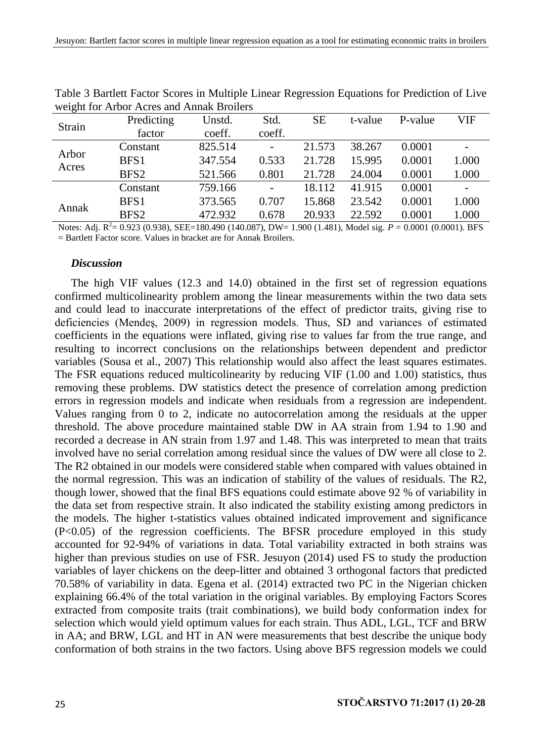| Strain | Predicting       | Unstd.  | Std.   | SЕ     | t-value | P-value | VIF   |
|--------|------------------|---------|--------|--------|---------|---------|-------|
|        | factor           | coeff.  | coeff. |        |         |         |       |
| Arbor  | Constant         | 825.514 | ۰      | 21.573 | 38.267  | 0.0001  |       |
| Acres  | BFS1             | 347.554 | 0.533  | 21.728 | 15.995  | 0.0001  | 1.000 |
|        | BFS <sub>2</sub> | 521.566 | 0.801  | 21.728 | 24,004  | 0.0001  | 1.000 |
|        | Constant         | 759.166 | -      | 18.112 | 41.915  | 0.0001  |       |
| Annak  | BFS1             | 373.565 | 0.707  | 15.868 | 23.542  | 0.0001  | 1.000 |
|        | BFS <sub>2</sub> | 472.932 | 0.678  | 20.933 | 22.592  | 0.0001  | 1.000 |
|        |                  |         |        |        |         |         |       |

Table 3 Bartlett Factor Scores in Multiple Linear Regression Equations for Prediction of Live weight for Arbor Acres and Annak Broilers

Notes: Adj. R<sup>2</sup> = 0.923 (0.938), SEE=180.490 (140.087), DW= 1.900 (1.481), Model sig. *P* = 0.0001 (0.0001). BFS = Bartlett Factor score. Values in bracket are for Annak Broilers.

### *Discussion*

The high VIF values (12.3 and 14.0) obtained in the first set of regression equations confirmed multicolinearity problem among the linear measurements within the two data sets and could lead to inaccurate interpretations of the effect of predictor traits, giving rise to deficiencies (Mendeş, 2009) in regression models. Thus, SD and variances of estimated coefficients in the equations were inflated, giving rise to values far from the true range, and resulting to incorrect conclusions on the relationships between dependent and predictor variables (Sousa et al., 2007) This relationship would also affect the least squares estimates. The FSR equations reduced multicolinearity by reducing VIF (1.00 and 1.00) statistics, thus removing these problems. DW statistics detect the presence of correlation among prediction errors in regression models and indicate when residuals from a regression are independent. Values ranging from 0 to 2, indicate no autocorrelation among the residuals at the upper threshold. The above procedure maintained stable DW in AA strain from 1.94 to 1.90 and recorded a decrease in AN strain from 1.97 and 1.48. This was interpreted to mean that traits involved have no serial correlation among residual since the values of DW were all close to 2. The R2 obtained in our models were considered stable when compared with values obtained in the normal regression. This was an indication of stability of the values of residuals. The R2, though lower, showed that the final BFS equations could estimate above 92 % of variability in the data set from respective strain. It also indicated the stability existing among predictors in the models. The higher t-statistics values obtained indicated improvement and significance (P<0.05) of the regression coefficients. The BFSR procedure employed in this study accounted for 92-94% of variations in data. Total variability extracted in both strains was higher than previous studies on use of FSR. Jesuyon (2014) used FS to study the production variables of layer chickens on the deep-litter and obtained 3 orthogonal factors that predicted 70.58% of variability in data. Egena et al. (2014) extracted two PC in the Nigerian chicken explaining 66.4% of the total variation in the original variables. By employing Factors Scores extracted from composite traits (trait combinations), we build body conformation index for selection which would yield optimum values for each strain. Thus ADL, LGL, TCF and BRW in AA; and BRW, LGL and HT in AN were measurements that best describe the unique body conformation of both strains in the two factors. Using above BFS regression models we could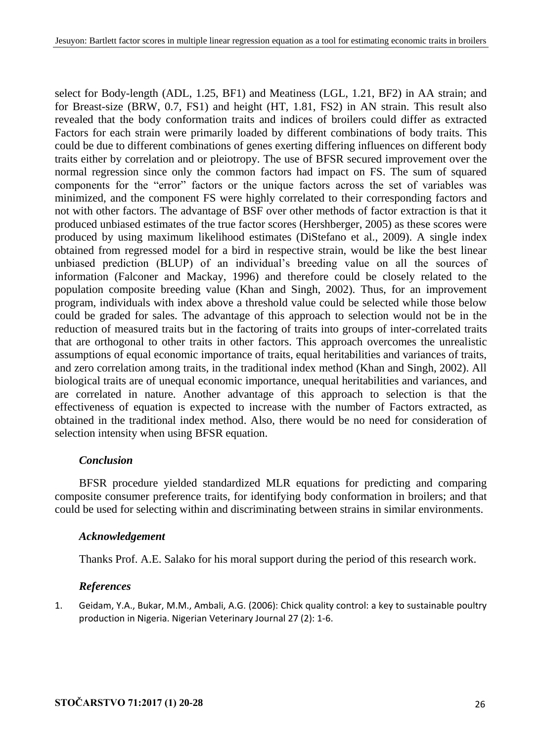select for Body-length (ADL, 1.25, BF1) and Meatiness (LGL, 1.21, BF2) in AA strain; and for Breast-size (BRW, 0.7, FS1) and height (HT, 1.81, FS2) in AN strain. This result also revealed that the body conformation traits and indices of broilers could differ as extracted Factors for each strain were primarily loaded by different combinations of body traits. This could be due to different combinations of genes exerting differing influences on different body traits either by correlation and or pleiotropy. The use of BFSR secured improvement over the normal regression since only the common factors had impact on FS. The sum of squared components for the "error" factors or the unique factors across the set of variables was minimized, and the component FS were highly correlated to their corresponding factors and not with other factors. The advantage of BSF over other methods of factor extraction is that it produced unbiased estimates of the true factor scores (Hershberger, 2005) as these scores were produced by using maximum likelihood estimates (DiStefano et al., 2009). A single index obtained from regressed model for a bird in respective strain, would be like the best linear unbiased prediction (BLUP) of an individual's breeding value on all the sources of information (Falconer and Mackay, 1996) and therefore could be closely related to the population composite breeding value (Khan and Singh, 2002). Thus, for an improvement program, individuals with index above a threshold value could be selected while those below could be graded for sales. The advantage of this approach to selection would not be in the reduction of measured traits but in the factoring of traits into groups of inter-correlated traits that are orthogonal to other traits in other factors. This approach overcomes the unrealistic assumptions of equal economic importance of traits, equal heritabilities and variances of traits, and zero correlation among traits, in the traditional index method (Khan and Singh, 2002). All biological traits are of unequal economic importance, unequal heritabilities and variances, and are correlated in nature. Another advantage of this approach to selection is that the effectiveness of equation is expected to increase with the number of Factors extracted, as obtained in the traditional index method. Also, there would be no need for consideration of selection intensity when using BFSR equation.

### *Conclusion*

BFSR procedure yielded standardized MLR equations for predicting and comparing composite consumer preference traits, for identifying body conformation in broilers; and that could be used for selecting within and discriminating between strains in similar environments.

## *Acknowledgement*

Thanks Prof. A.E. Salako for his moral support during the period of this research work.

## *References*

1. Geidam, Y.A., Bukar, M.M., Ambali, A.G. (2006): Chick quality control: a key to sustainable poultry production in Nigeria. Nigerian Veterinary Journal 27 (2): 1-6.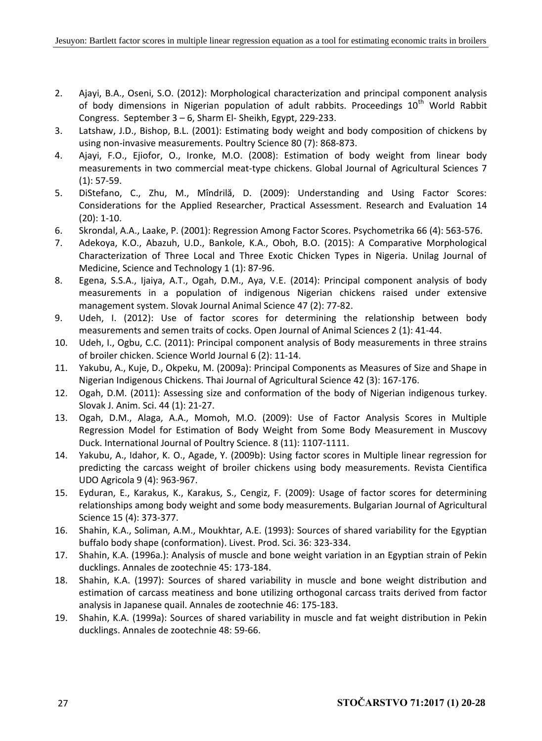- 2. Ajayi, B.A., Oseni, S.O. (2012): Morphological characterization and principal component analysis of body dimensions in Nigerian population of adult rabbits. Proceedings 10<sup>th</sup> World Rabbit Congress. September 3 – 6, Sharm El- Sheikh, Egypt, 229-233.
- 3. Latshaw, J.D., Bishop, B.L. (2001): Estimating body weight and body composition of chickens by using non-invasive measurements. Poultry Science 80 (7): 868-873.
- 4. Ajayi, F.O., Ejiofor, O., Ironke, M.O. (2008): Estimation of body weight from linear body measurements in two commercial meat-type chickens. Global Journal of Agricultural Sciences 7 (1): 57-59.
- 5. DiStefano, C., Zhu, M., Mîndrilă, D. (2009): Understanding and Using Factor Scores: Considerations for the Applied Researcher, Practical Assessment. Research and Evaluation 14 (20): 1-10.
- 6. Skrondal, A.A., Laake, P. (2001): Regression Among Factor Scores. Psychometrika 66 (4): 563-576.
- 7. Adekoya, K.O., Abazuh, U.D., Bankole, K.A., Oboh, B.O. (2015): A Comparative Morphological Characterization of Three Local and Three Exotic Chicken Types in Nigeria. Unilag Journal of Medicine, Science and Technology 1 (1): 87-96.
- 8. Egena, S.S.A., Ijaiya, A.T., Ogah, D.M., Aya, V.E. (2014): Principal component analysis of body measurements in a population of indigenous Nigerian chickens raised under extensive management system. Slovak Journal Animal Science 47 (2): 77-82.
- 9. Udeh, I. (2012): Use of factor scores for determining the relationship between body measurements and semen traits of cocks. Open Journal of Animal Sciences 2 (1): 41-44.
- 10. Udeh, I., Ogbu, C.C. (2011): Principal component analysis of Body measurements in three strains of broiler chicken. Science World Journal 6 (2): 11-14.
- 11. Yakubu, A., Kuje, D., Okpeku, M. (2009a): Principal Components as Measures of Size and Shape in Nigerian Indigenous Chickens. Thai Journal of Agricultural Science 42 (3): 167-176.
- 12. Ogah, D.M. (2011): Assessing size and conformation of the body of Nigerian indigenous turkey. Slovak J. Anim. Sci. 44 (1): 21-27.
- 13. Ogah, D.M., Alaga, A.A., Momoh, M.O. (2009): Use of Factor Analysis Scores in Multiple Regression Model for Estimation of Body Weight from Some Body Measurement in Muscovy Duck. International Journal of Poultry Science. 8 (11): 1107-1111.
- 14. Yakubu, A., Idahor, K. O., Agade, Y. (2009b): Using factor scores in Multiple linear regression for predicting the carcass weight of broiler chickens using body measurements. Revista Cientifica UDO Agricola 9 (4): 963-967.
- 15. Eyduran, E., Karakus, K., Karakus, S., Cengiz, F. (2009): Usage of factor scores for determining relationships among body weight and some body measurements. Bulgarian Journal of Agricultural Science 15 (4): 373-377.
- 16. Shahin, K.A., Soliman, A.M., Moukhtar, A.E. (1993): Sources of shared variability for the Egyptian buffalo body shape (conformation). Livest. Prod. Sci. 36: 323-334.
- 17. Shahin, K.A. (1996a.): Analysis of muscle and bone weight variation in an Egyptian strain of Pekin ducklings. Annales de zootechnie 45: 173-184.
- 18. Shahin, K.A. (1997): Sources of shared variability in muscle and bone weight distribution and estimation of carcass meatiness and bone utilizing orthogonal carcass traits derived from factor analysis in Japanese quail. Annales de zootechnie 46: 175-183.
- 19. Shahin, K.A. (1999a): Sources of shared variability in muscle and fat weight distribution in Pekin ducklings. Annales de zootechnie 48: 59-66.